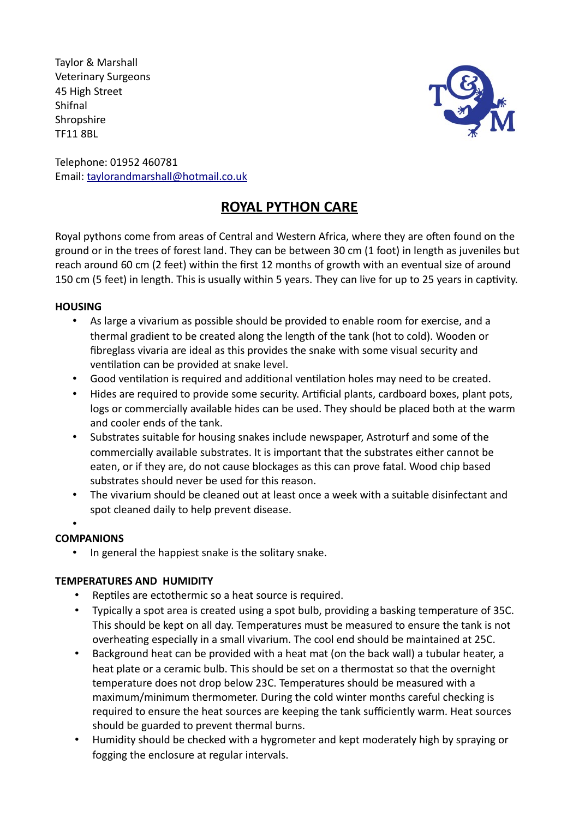Taylor & Marshall Veterinary Surgeons 45 High Street Shifnal **Shropshire** TF11 8BL



Telephone: 01952 460781 Email: taylorandmarshall@hotmail.co.uk

# **ROYAL PYTHON CARE**

Royal pythons come from areas of Central and Western Africa, where they are often found on the ground or in the trees of forest land. They can be between 30 cm (1 foot) in length as juveniles but reach around 60 cm (2 feet) within the first 12 months of growth with an eventual size of around 150 cm (5 feet) in length. This is usually within 5 years. They can live for up to 25 years in captivity.

# **HOUSING**

- As large a vivarium as possible should be provided to enable room for exercise, and a thermal gradient to be created along the length of the tank (hot to cold). Wooden or fibreglass vivaria are ideal as this provides the snake with some visual security and ventilation can be provided at snake level.
- Good ventilation is required and additional ventilation holes may need to be created.
- Hides are required to provide some security. Artificial plants, cardboard boxes, plant pots, logs or commercially available hides can be used. They should be placed both at the warm and cooler ends of the tank.
- Substrates suitable for housing snakes include newspaper, Astroturf and some of the commercially available substrates. It is important that the substrates either cannot be eaten, or if they are, do not cause blockages as this can prove fatal. Wood chip based substrates should never be used for this reason.
- The vivarium should be cleaned out at least once a week with a suitable disinfectant and spot cleaned daily to help prevent disease.
- •

# **COMPANIONS**

In general the happiest snake is the solitary snake.

# **TEMPERATURES AND HUMIDITY**

- Reptiles are ectothermic so a heat source is required.
- Typically a spot area is created using a spot bulb, providing a basking temperature of 35C. This should be kept on all day. Temperatures must be measured to ensure the tank is not overheating especially in a small vivarium. The cool end should be maintained at 25C.
- Background heat can be provided with a heat mat (on the back wall) a tubular heater, a heat plate or a ceramic bulb. This should be set on a thermostat so that the overnight temperature does not drop below 23C. Temperatures should be measured with a maximum/minimum thermometer. During the cold winter months careful checking is required to ensure the heat sources are keeping the tank sufficiently warm. Heat sources should be guarded to prevent thermal burns.
- Humidity should be checked with a hygrometer and kept moderately high by spraying or fogging the enclosure at regular intervals.